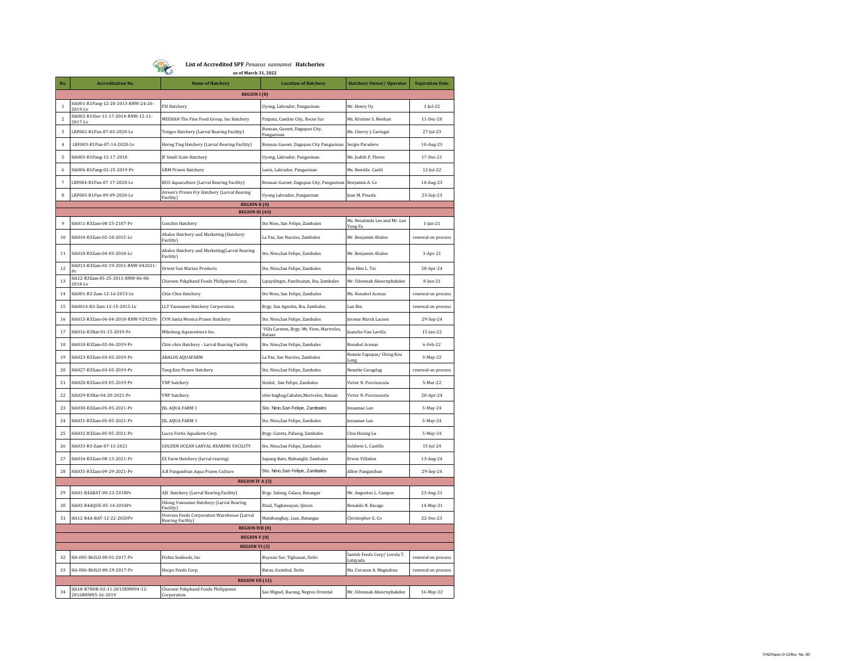

**List of Accredited SPF** *Penaeus vannamei* **Hatcheries as of March 31, 2022**

| No.                      | <b>Accreditation No.</b>                            | <b>Name of Hatchery</b>                                          | <b>Location of Hatchery</b>                        | <b>Hatchery Owner/ Operator</b>         | <b>Expiration Date</b> |  |  |  |  |
|--------------------------|-----------------------------------------------------|------------------------------------------------------------------|----------------------------------------------------|-----------------------------------------|------------------------|--|--|--|--|
|                          | <b>REGION I (8)</b>                                 |                                                                  |                                                    |                                         |                        |  |  |  |  |
| $\mathbf{1}$             | HA001-R1Pang-12-20-2013-RNW-24-26-                  | <b>FSI Hatchery</b>                                              | Uyong, Labrador, Pangasinan                        | Mr. Henry Uy                            | $1$ -Jul-22            |  |  |  |  |
| $\sqrt{2}$               | HA002-R1ISur-11-17-2014-RNW-12-11-<br>2017-Lv       | MEEHAN The Fine Food Group, Inc Hatchery                         | Patpata, Candon City, Ilocos Sur                   | Ms. Kristine S. Meehan                  | 11-Dec-20              |  |  |  |  |
| $\overline{\mathbf{3}}$  | LRF002-R1Pan-07-03-2020-Lv                          | Tongco Hatchery (Larval Rearing Facility)                        | Bonuan, Gueset, Dagupan City,<br>Pangasinan        | Ms. Cherry J. Caringal                  | 27-Jul-23              |  |  |  |  |
| $\overline{4}$           | LRF003-R1Pan-07-14-2020-Lv                          | Horng Ting Hatchery (Larval Rearing Facility)                    | Bonuan Gueset, Dagupan City Pangasinan             | Sergio Paradero                         | 10-Aug-23              |  |  |  |  |
| 5                        | HA005-R1Pang-12-17-2018                             | F Small Scale Hatchery                                           | Uyong, Labrador, Pangasinan                        | Ms. Judith P. Flores                    | 17-Dec-21              |  |  |  |  |
| 6                        | HA006-R1Pang-02-25-2019-Pv                          | <b>GRM Prawn Hatchery</b>                                        | Laois, Labrador, Pangasinan                        | Ms. Benilda Castil                      | 12-Jul-22              |  |  |  |  |
| $\overline{\phantom{a}}$ | LRF004-R1Pan-07-17-2020-Lv                          | BCO Aquaculture (Larval Rearing Facility)                        | Bonuan Gueset, Dagupan City, Pangasinan            | Benjamin A. Co.                         | 10-Aug-23              |  |  |  |  |
| 8                        | LRF005-R1Pan-09-09-2020-Lv                          | Aireen's Prawn Fry Hatchery (Larval Rearing<br>Facility)         | Uyong Labrador, Pangasinan                         | Jean M. Pineda                          | 23-Sep-23              |  |  |  |  |
|                          | <b>REGION II (0)</b>                                |                                                                  |                                                    |                                         |                        |  |  |  |  |
|                          |                                                     | <b>REGION III (43)</b>                                           |                                                    | Ms. Rosalinda Lee and Mr. Lee           |                        |  |  |  |  |
| 9                        | HA011-R3Zam-08-25-2107-Pv                           | Conchin Hatchery                                                 | Sto Nino, San Felipe, Zambales                     | Yung Fa                                 | $1$ -Jan- $21$         |  |  |  |  |
| 10                       | HA010-R3Zam-02-18-2015-Lv                           | Abalos Hatchery and Marketing (Hatchery<br>Facility)             | La Paz, San Narciso, Zambales                      | Mr. Benjamin Abalos                     | renewal on process     |  |  |  |  |
| 11                       | HA010-R3Zam-04-03-2018-Lv                           | Abalos Hatchery and Marketing(Larval Rearing<br>Facility)        | Sto. Nino, San Felipe, Zambales                    | Mr. Benjamin Abalos                     | $3-Apr-21$             |  |  |  |  |
| 12                       | HA013-R3Zam-02-19-2015-RNW-042021-                  | Orient Sun Marine Products                                       | Sto. Nino,San Felipe, Zambales                     | Ken Him L. Tui                          | 20-Apr-24              |  |  |  |  |
| 13                       | HA12-R3Zam-05-25-2011-RNW-06-08-<br>2018-L          | Charoen Pokphand Foods Philippines Corp.                         | Lipaydingin, Panibuatan, Iba, Zambales             | Mr. Udomsak Aksornphakdee               | 8-Jun-21               |  |  |  |  |
| 14                       | HA001-R3-Zam-12-16-2013-Lv                          | Chin-Chin Hatchery                                               | Sto Nino, San Felipe, Zambales                     | Ms. Ronabel Acenas                      | renewal on process     |  |  |  |  |
| 15                       | HA0014-R3-Zam-12-15-2015-Lv                         | LLT Vannamei Hatchery Corporation                                | Brgy. San Agustin, Iba, Zambales                   | Lan Bin                                 | renewal on process     |  |  |  |  |
| 16                       | HA015-R3Zam-06-04-2018-RNW-92921Pv                  | CVN Santa Monica Prawn Hatchery                                  | Sto. Nino, San Felipe, Zambales                    | Jerome Marck Lacson                     | 29-Sep-24              |  |  |  |  |
| 17                       | HA016-R3Bat-01-15-2019-Pv                           | Mikolong Aquaventure Inc.                                        | Villa Carmen, Brgy. Mt. View, Mariveles,<br>Bataar | Juancho Van Lavilla                     | 15-Jan-22              |  |  |  |  |
| 18                       | HA018-R3Zam-02-06-2019-Pv                           | Chin-chin Hatchery - Larval Rearing Facility                     | Sto. Nino, San Felipe, Zambales                    | <b>Ronabel Acenas</b>                   | 6-Feb-22               |  |  |  |  |
| 19                       | HA023-R3Zam-03-05-2019-Pv                           | <b>ABALOS AQUAFARM</b>                                           | La Paz, San Narciso, Zambales                      | Ronnie Capapas/ Ching Kou<br>Long       | 3-May-22               |  |  |  |  |
| 20                       | HA027-R3Zam-03-05-2019-Pv                           | Tang Ken Prawn Hatchery                                          | Sto. Nino,San Felipe, Zambales                     | Nenette Caragdag                        | renewal on process     |  |  |  |  |
| 21                       | HA028-R3Zam-03-05-2019-Pv                           | VNP hatchery                                                     | Sindol, San Felipe, Zambales                       | Victor N. Porciuncula                   | 5-Mar-22               |  |  |  |  |
| 22                       | HA029-R3Bat-04-20-2021-Pv                           | <b>VNP</b> hatchery                                              | sitio bagbag, Cabalen, Mariveles, Bataan           | Victor N. Porciuncula                   | 20-Apr-24              |  |  |  |  |
| 23                       | HA030-R3Zam-05-05-2021-Pv                           | JSL AQUA FARM 1                                                  | Sto. Nino, San Felipe, Zambales                    | lessamae Lan                            | 5-May-24               |  |  |  |  |
| 24                       | HA031-R3Zam-05-05-2021-Pv                           | JSL AQUA FARM 1                                                  | Sto. Nino,San Felipe, Zambales                     | essamae Lan                             | 5-May-24               |  |  |  |  |
| 25                       | HA032-R3Zam-05-05-2021-Pv                           | Lucra Fortis Aquafarm Corp.                                      | Brgy. Gareta, Palauig, Zambales                    | Chia Hsiang Lu                          | 5-May-24               |  |  |  |  |
| 26                       | HA033-R3-Zam-07-15-2021                             | GOLDEN OCEAN LARVAL REARING FACILITY                             | Sto. Nino, San Felipe, Zambales                    | Goldwin L. Castillo                     | $15$ -Jul-24           |  |  |  |  |
| 27                       | HA034-R3Zam-08-13-2021-Pv                           | EZ Farm Hatchery (larval rearing)                                | Sapang Bato, Mabanglit, Zambales                   | Erwin Villadoz                          | 13-Aug-24              |  |  |  |  |
| 28                       | HA035-R3Zam-09-29-2021-Pv                           | A.B Panganiban Aqua Prawn Culture                                | Sto. Nino, San Felipe, Zambales                    | Alber Panganiban                        | 29-Sep-24              |  |  |  |  |
|                          | <b>REGION IV A (3)</b>                              |                                                                  |                                                    |                                         |                        |  |  |  |  |
| 29                       | HA01-R4ABAT-08-23-2018Pv                            | AJS Hatchery (Larval Rearing Facility)                           | Brgy. Salong, Calaca, Batangas                     | Mr. Augustus L. Campos                  | 23-Aug-21              |  |  |  |  |
| 30                       | HA02-R4AQUE-05-14-2018Pv                            | Odong Vannamei Hatchery (Larval Rearing<br>Facility              | Rizal, Tagkawayan, Qezon                           | Ronaldo N. Bacago                       | 14-May-21              |  |  |  |  |
| 31                       | HA12-R4A-BAT-12-22-2020Pv                           | Oversea Feeds Corporation Warehouse (Larval<br>Rearing Facility) | Matabungkay, Lian, Batangas                        | Christopher G. Co                       | 22-Dec-23              |  |  |  |  |
|                          | <b>REGION IVB (0)</b>                               |                                                                  |                                                    |                                         |                        |  |  |  |  |
| <b>REGION V (0)</b>      |                                                     |                                                                  |                                                    |                                         |                        |  |  |  |  |
| <b>REGION VI</b> (2)     |                                                     |                                                                  |                                                    |                                         |                        |  |  |  |  |
| 32                       | HA-005-R6ILO-08-01-2017-Pv                          | Fishta Seafoods, Inc                                             | Buyuan Sur, Tigbauan, Iloilo                       | Santeh Feeds Corp/Lovela T.<br>Latayada | renewal on process     |  |  |  |  |
| 33                       | HA-006-R6ILO-08-29-2017-Pv                          | Hocpo Feeds Corp.                                                | Baras, Guimbal, Iloilo                             | Ma. Corazon A. Magnabua                 | renewal on process     |  |  |  |  |
|                          | <b>REGION VII (11)</b>                              |                                                                  |                                                    |                                         |                        |  |  |  |  |
| 34                       | HA18-R7NOR-02-11-2013RNW04-12-<br>2016RNW05-16-2019 | Charoen Pokphand Foods Philippines<br>Corporation                | San Miguel, Bacong, Negros Oriental                | Mr. Udomsak Aksornphakdee               | 16-May-22              |  |  |  |  |